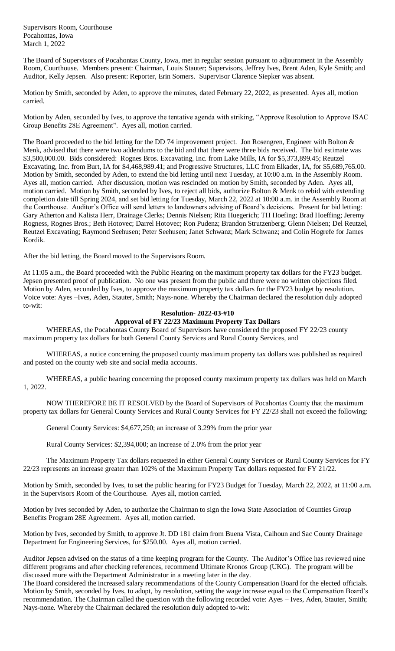Supervisors Room, Courthouse Pocahontas, Iowa March 1, 2022

The Board of Supervisors of Pocahontas County, Iowa, met in regular session pursuant to adjournment in the Assembly Room, Courthouse. Members present: Chairman, Louis Stauter; Supervisors, Jeffrey Ives, Brent Aden, Kyle Smith; and Auditor, Kelly Jepsen. Also present: Reporter, Erin Somers. Supervisor Clarence Siepker was absent.

Motion by Smith, seconded by Aden, to approve the minutes, dated February 22, 2022, as presented. Ayes all, motion carried.

Motion by Aden, seconded by Ives, to approve the tentative agenda with striking, "Approve Resolution to Approve ISAC Group Benefits 28E Agreement". Ayes all, motion carried.

The Board proceeded to the bid letting for the DD 74 improvement project. Jon Rosengren, Engineer with Bolton & Menk, advised that there were two addendums to the bid and that there were three bids received. The bid estimate was \$3,500,000.00. Bids considered: Rognes Bros. Excavating, Inc. from Lake Mills, IA for \$5,373,899.45; Reutzel Excavating, Inc. from Burt, IA for \$4,468,989.41; and Progressive Structures, LLC from Elkader, IA, for \$5,689,765.00. Motion by Smith, seconded by Aden, to extend the bid letting until next Tuesday, at 10:00 a.m. in the Assembly Room. Ayes all, motion carried. After discussion, motion was rescinded on motion by Smith, seconded by Aden. Ayes all, motion carried. Motion by Smith, seconded by Ives, to reject all bids, authorize Bolton & Menk to rebid with extending completion date till Spring 2024, and set bid letting for Tuesday, March 22, 2022 at 10:00 a.m. in the Assembly Room at the Courthouse. Auditor's Office will send letters to landowners advising of Board's decisions. Present for bid letting: Gary Atherton and Kalista Herr, Drainage Clerks; Dennis Nielsen; Rita Huegerich; TH Hoefing; Brad Hoeffing; Jeremy Rogness, Rognes Bros.; Beth Hotovec; Darrel Hotovec; Ron Pudenz; Brandon Strutzenberg; Glenn Nielsen; Del Reutzel, Reutzel Excavating; Raymond Seehusen; Peter Seehusen; Janet Schwanz; Mark Schwanz; and Colin Hogrefe for James Kordik.

After the bid letting, the Board moved to the Supervisors Room.

At 11:05 a.m., the Board proceeded with the Public Hearing on the maximum property tax dollars for the FY23 budget. Jepsen presented proof of publication. No one was present from the public and there were no written objections filed. Motion by Aden, seconded by Ives, to approve the maximum property tax dollars for the FY23 budget by resolution. Voice vote: Ayes –Ives, Aden, Stauter, Smith; Nays-none. Whereby the Chairman declared the resolution duly adopted to-wit:

## **Resolution- 2022-03-#10**

## **Approval of FY 22/23 Maximum Property Tax Dollars**

WHEREAS, the Pocahontas County Board of Supervisors have considered the proposed FY 22/23 county maximum property tax dollars for both General County Services and Rural County Services, and

WHEREAS, a notice concerning the proposed county maximum property tax dollars was published as required and posted on the county web site and social media accounts.

WHEREAS, a public hearing concerning the proposed county maximum property tax dollars was held on March 1, 2022.

NOW THEREFORE BE IT RESOLVED by the Board of Supervisors of Pocahontas County that the maximum property tax dollars for General County Services and Rural County Services for FY 22/23 shall not exceed the following:

General County Services: \$4,677,250; an increase of 3.29% from the prior year

Rural County Services: \$2,394,000; an increase of 2.0% from the prior year

The Maximum Property Tax dollars requested in either General County Services or Rural County Services for FY 22/23 represents an increase greater than 102% of the Maximum Property Tax dollars requested for FY 21/22.

Motion by Smith, seconded by Ives, to set the public hearing for FY23 Budget for Tuesday, March 22, 2022, at 11:00 a.m. in the Supervisors Room of the Courthouse. Ayes all, motion carried.

Motion by Ives seconded by Aden, to authorize the Chairman to sign the Iowa State Association of Counties Group Benefits Program 28E Agreement. Ayes all, motion carried.

Motion by Ives, seconded by Smith, to approve Jt. DD 181 claim from Buena Vista, Calhoun and Sac County Drainage Department for Engineering Services, for \$250.00. Ayes all, motion carried.

Auditor Jepsen advised on the status of a time keeping program for the County. The Auditor's Office has reviewed nine different programs and after checking references, recommend Ultimate Kronos Group (UKG). The program will be discussed more with the Department Administrator in a meeting later in the day.

The Board considered the increased salary recommendations of the County Compensation Board for the elected officials. Motion by Smith, seconded by Ives, to adopt, by resolution, setting the wage increase equal to the Compensation Board's recommendation. The Chairman called the question with the following recorded vote: Ayes – Ives, Aden, Stauter, Smith; Nays-none. Whereby the Chairman declared the resolution duly adopted to-wit: